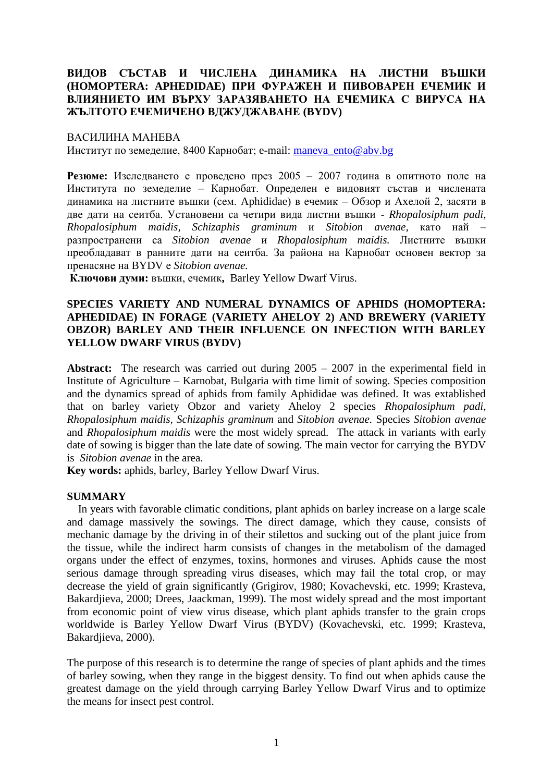# **ВИДОВ СЪСТАВ И ЧИСЛЕНА ДИНАМИКА НА ЛИСТНИ ВЪШКИ (HOMOPTERA: APHEDIDAE) ПРИ ФУРАЖЕН И ПИВОВАРЕН ЕЧЕМИК И ВЛИЯНИЕТО ИМ ВЪРХУ ЗАРАЗЯВАНЕТО НА ЕЧЕМИКА С ВИРУСА НА ЖЪЛТОТО ЕЧЕМИЧЕНО ВДЖУДЖАВАНЕ (BYDV)**

### ВАСИЛИНА МАНЕВА

Институт по земеделие, 8400 Карнобат; e-mail: [maneva\\_ento@abv.bg](mailto:maneva_ento@abv.bg)

**Резюме:** Изследването е проведено през 2005 – 2007 година в опитното поле на Института по земеделие – Карнобат. Определен е видовият състав и числената динамика на листните въшки (сем. Aphididae) в ечемик – Обзор и Ахелой 2, засяти в две дати на сеитба. Установени са четири вида листни въшки - *Rhopalosiphum padi, Rhopalosiphum maidis, Schizaphis graminum* и *Sitobion avenae,* като най – разпространени са *Sitobion avenae* и *Rhopalosiphum maidis.* Листните въшки преобладават в ранните дати на сеитба. За района на Карнобат основен вектор за пренасяне на BYDV е *Sitobion avenae.*

**Ключови думи:** въшки, ечемик**,** Barley Yellow Dwarf Virus.

## **SPECIES VARIETY AND NUMERAL DYNAMICS OF APHIDS (HOMOPTERA: APHEDIDAE) IN FORAGE (VARIETY AHELOY 2) AND BREWERY (VARIETY OBZOR) BARLEY AND THEIR INFLUENCE ON INFECTION WITH BARLEY YELLOW DWARF VIRUS (BYDV)**

**Abstract:** The research was carried out during 2005 – 2007 in the experimental field in Institute of Agriculture – Karnobat, Bulgaria with time limit of sowing. Species composition and the dynamics spread of aphids from family Aphididae was defined. It was extablished that on barley variety Obzor and variety Aheloy 2 species *Rhopalosiphum padi, Rhopalosiphum maidis, Schizaphis graminum* and *Sitobion avenae.* Species *Sitobion avenae* and *Rhopalosiphum maidis* were the most widely spread*.* The attack in variants with early date of sowing is bigger than the late date of sowing*.* The main vector for carrying the BYDV is *Sitobion avenae* in the area.

**Key words:** aphids, barley, Barley Yellow Dwarf Virus.

## **SUMMARY**

 In years with favorable climatic conditions, plant aphids on barley increase on a large scale and damage massively the sowings. The direct damage, which they cause, consists of mechanic damage by the driving in of their stilettos and sucking out of the plant juice from the tissue, while the indirect harm consists of changes in the metabolism of the damaged organs under the effect of enzymes, toxins, hormones and viruses. Aphids cause the most serious damage through spreading virus diseases, which may fail the total crop, or may decrease the yield of grain significantly (Grigirov, 1980; Kovachevski, etc. 1999; Krasteva, Bakardiieva, 2000; Drees, Jaackman, 1999). The most widely spread and the most important from economic point of view virus disease, which plant aphids transfer to the grain crops worldwide is Barley Yellow Dwarf Virus (BYDV) (Kovachevski, etc. 1999; Krasteva, Bakardjieva, 2000).

The purpose of this research is to determine the range of species of plant aphids and the times of barley sowing, when they range in the biggest density. To find out when aphids cause the greatest damage on the yield through carrying Barley Yellow Dwarf Virus and to optimize the means for insect pest control.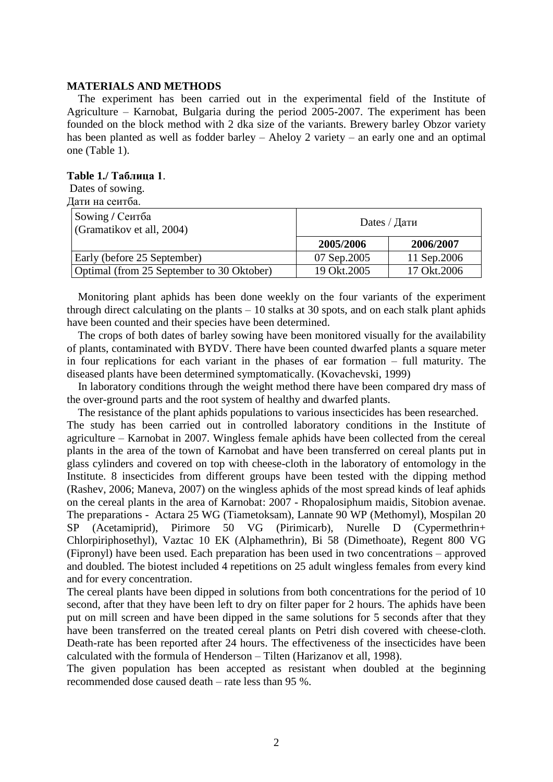### **MATERIALS AND METHODS**

 The experiment has been carried out in the experimental field of the Institute of Agriculture – Karnobat, Bulgaria during the period 2005-2007. The experiment has been founded on the block method with 2 dka size of the variants. Brewery barley Obzor variety has been planted as well as fodder barley – Aheloy 2 variety – an early one and an optimal one (Table 1).

### **Table 1./ Таблица 1**.

Dates of sowing.

| Дати на сеитба.                              |              |              |  |  |  |  |
|----------------------------------------------|--------------|--------------|--|--|--|--|
| Sowing / Сеитба<br>(Gramatikov et all, 2004) | Dates / Дати |              |  |  |  |  |
|                                              | 2005/2006    | 2006/2007    |  |  |  |  |
| Early (before 25 September)                  | 07 Sep.2005  | 11 Sep. 2006 |  |  |  |  |
| Optimal (from 25 September to 30 Oktober)    | 19 Okt.2005  | 17 Okt.2006  |  |  |  |  |

 Monitoring plant aphids has been done weekly on the four variants of the experiment through direct calculating on the plants – 10 stalks at 30 spots, and on each stalk plant aphids have been counted and their species have been determined.

 The crops of both dates of barley sowing have been monitored visually for the availability of plants, contaminated with BYDV. There have been counted dwarfed plants a square meter in four replications for each variant in the phases of ear formation – full maturity. The diseased plants have been determined symptomatically. (Kovachevski, 1999)

 In laboratory conditions through the weight method there have been compared dry mass of the over-ground parts and the root system of healthy and dwarfed plants.

The resistance of the plant aphids populations to various insecticides has been researched.

The study has been carried out in controlled laboratory conditions in the Institute of agriculture – Karnobat in 2007. Wingless female aphids have been collected from the cereal plants in the area of the town of Karnobat and have been transferred on cereal plants put in glass cylinders and covered on top with cheese-cloth in the laboratory of entomology in the Institute. 8 insecticides from different groups have been tested with the dipping method (Rashev, 2006; Maneva, 2007) on the wingless aphids of the most spread kinds of leaf aphids on the cereal plants in the area of Karnobat: 2007 - Rhopalosiphum maidis, Sitobion avenae. The preparations - Actara 25 WG (Tiametoksam), Lannate 90 WP (Methomyl), Mospilan 20 SP (Acetamiprid), Pirimore 50 VG (Pirimicarb), Nurelle D (Cypermethrin+ Chlorpiriphosethyl), Vaztac 10 EK (Alphamethrin), Bi 58 (Dimethoate), Regent 800 VG (Fipronyl) have been used. Each preparation has been used in two concentrations – approved and doubled. The biotest included 4 repetitions on 25 adult wingless females from every kind and for every concentration.

The cereal plants have been dipped in solutions from both concentrations for the period of 10 second, after that they have been left to dry on filter paper for 2 hours. The aphids have been put on mill screen and have been dipped in the same solutions for 5 seconds after that they have been transferred on the treated cereal plants on Petri dish covered with cheese-cloth. Death-rate has been reported after 24 hours. The effectiveness of the insecticides have been calculated with the formula of Henderson – Tilten (Harizanov et all, 1998).

The given population has been accepted as resistant when doubled at the beginning recommended dose caused death – rate less than 95 %.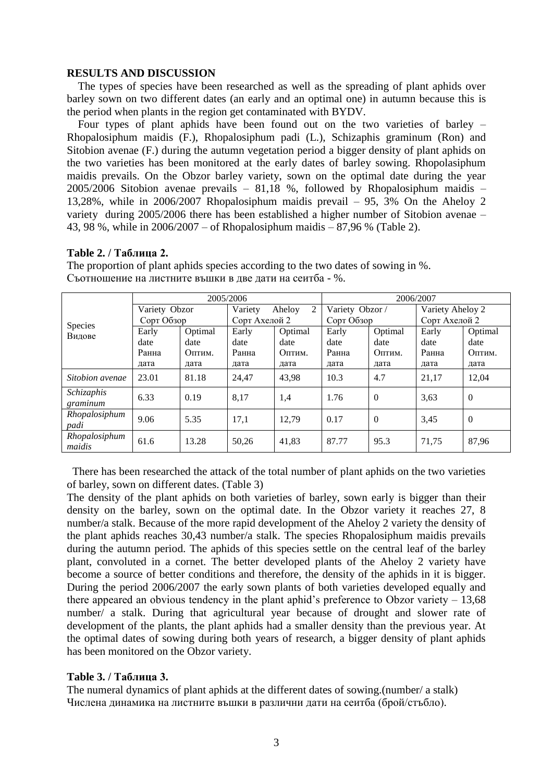## **RESULTS AND DISCUSSION**

 The types of species have been researched as well as the spreading of plant aphids over barley sown on two different dates (an early and an optimal one) in autumn because this is the period when plants in the region get contaminated with BYDV.

 Four types of plant aphids have been found out on the two varieties of barley – Rhopalosiphum maidis (F.), Rhopalosiphum padi (L.), Schizaphis graminum (Ron) and Sitobion avenae (F.) during the autumn vegetation period a bigger density of plant aphids on the two varieties has been monitored at the early dates of barley sowing. Rhopolasiphum maidis prevails. On the Obzor barley variety, sown on the optimal date during the year 2005/2006 Sitobion avenae prevails – 81,18 %, followed by Rhopalosiphum maidis – 13,28%, while in 2006/2007 Rhopalosiphum maidis prevail – 95, 3% On the Aheloy 2 variety during 2005/2006 there has been established a higher number of Sitobion avenae – 43, 98 %, while in 2006/2007 – of Rhopalosiphum maidis – 87,96 % (Table 2).

## **Table 2. / Таблица 2.**

|                          | 2005/2006     |         |                        |         | 2006/2007       |                |                  |                |
|--------------------------|---------------|---------|------------------------|---------|-----------------|----------------|------------------|----------------|
| <b>Species</b><br>Видове | Variety Obzor |         | 2<br>Variety<br>Aheloy |         | Variety Obzor / |                | Variety Aheloy 2 |                |
|                          | Сорт Обзор    |         | Сорт Ахелой 2          |         | Сорт Обзор      |                | Сорт Ахелой 2    |                |
|                          | Early         | Optimal | Early                  | Optimal | Early           | Optimal        | Early            | Optimal        |
|                          | date          | date    | date                   | date    | date            | date           | date             | date           |
|                          | Ранна         | Оптим.  | Ранна                  | Оптим.  | Ранна           | Оптим.         | Ранна            | Оптим.         |
|                          | дата          | дата    | дата                   | дата    | дата            | дата           | дата             | дата           |
| Sitobion avenae          | 23.01         | 81.18   | 24.47                  | 43.98   | 10.3            | 4.7            | 21,17            | 12,04          |
| Schizaphis<br>graminum   | 6.33          | 0.19    | 8,17                   | 1,4     | 1.76            | $\theta$       | 3,63             | $\overline{0}$ |
| Rhopalosiphum<br>padi    | 9.06          | 5.35    | 17,1                   | 12.79   | 0.17            | $\overline{0}$ | 3,45             | $\overline{0}$ |
| Rhopalosiphum<br>maidis  | 61.6          | 13.28   | 50,26                  | 41,83   | 87.77           | 95.3           | 71,75            | 87,96          |

The proportion of plant aphids species according to the two dates of sowing in %. Съотношение на листните въшки в две дати на сеитба - %.

 There has been researched the attack of the total number of plant aphids on the two varieties of barley, sown on different dates. (Table 3)

The density of the plant aphids on both varieties of barley, sown early is bigger than their density on the barley, sown on the optimal date. In the Obzor variety it reaches 27, 8 number/a stalk. Because of the more rapid development of the Aheloy 2 variety the density of the plant aphids reaches 30,43 number/a stalk. The species Rhopalosiphum maidis prevails during the autumn period. The aphids of this species settle on the central leaf of the barley plant, convoluted in a cornet. The better developed plants of the Aheloy 2 variety have become a source of better conditions and therefore, the density of the aphids in it is bigger. During the period 2006/2007 the early sown plants of both varieties developed equally and there appeared an obvious tendency in the plant aphid's preference to Obzor variety  $-13,68$ number/ a stalk. During that agricultural year because of drought and slower rate of development of the plants, the plant aphids had a smaller density than the previous year. At the optimal dates of sowing during both years of research, a bigger density of plant aphids has been monitored on the Obzor variety.

## **Table 3. / Таблица 3.**

The numeral dynamics of plant aphids at the different dates of sowing.(number/ a stalk) Числена динамика на листните въшки в различни дати на сеитба (брой/стъбло).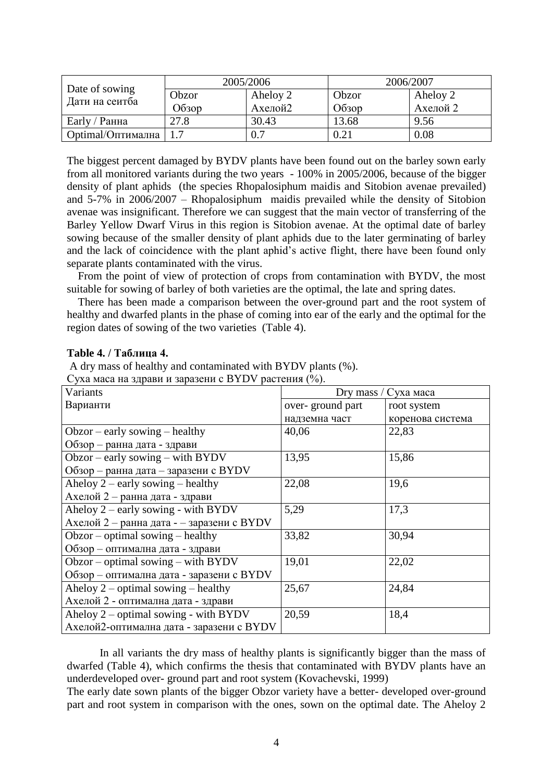|                                  | 2005/2006 |          | 2006/2007 |          |  |
|----------------------------------|-----------|----------|-----------|----------|--|
| Date of sowing<br>Дати на сеитба | Obzor     | Aheloy 2 | Obzor     | Aheloy 2 |  |
|                                  | Обзор     | Ахелой2  | O630p     | Ахелой 2 |  |
| Early / Ранна                    | 27.8      | 30.43    | 13.68     | 9.56     |  |
| Optimal/Оптимална                |           | 0.7      | 0.21      | 0.08     |  |

The biggest percent damaged by BYDV plants have been found out on the barley sown early from all monitored variants during the two years - 100% in 2005/2006, because of the bigger density of plant aphids (the species Rhopalosiphum maidis and Sitobion avenae prevailed) and 5-7% in 2006/2007 – Rhopalosiphum maidis prevailed while the density of Sitobion avenae was insignificant. Therefore we can suggest that the main vector of transferring of the Barley Yellow Dwarf Virus in this region is Sitobion avenae. At the optimal date of barley sowing because of the smaller density of plant aphids due to the later germinating of barley and the lack of coincidence with the plant aphid's active flight, there have been found only separate plants contaminated with the virus.

 From the point of view of protection of crops from contamination with BYDV, the most suitable for sowing of barley of both varieties are the optimal, the late and spring dates.

 There has been made a comparison between the over-ground part and the root system of healthy and dwarfed plants in the phase of coming into ear of the early and the optimal for the region dates of sowing of the two varieties (Table 4).

## **Table 4. / Таблица 4.**

A dry mass of healthy and contaminated with BYDV plants (%).

| Суха маса на здрави и заразени с BYDV растения (%). |  |  |  |
|-----------------------------------------------------|--|--|--|
|-----------------------------------------------------|--|--|--|

| Variants                                  | Dry mass / Cyxa maca |                  |  |
|-------------------------------------------|----------------------|------------------|--|
| Варианти                                  | over-ground part     | root system      |  |
|                                           | надземна част        | коренова система |  |
| $Obzor - early sowie - healthy$           | 40,06                | 22,83            |  |
| Обзор – ранна дата - здрави               |                      |                  |  |
| $Obzor - early sowing - with BYDV$        | 13,95                | 15,86            |  |
| Обзор - ранна дата - заразени с BYDV      |                      |                  |  |
| Aheloy $2$ – early sowing – healthy       | 22,08                | 19,6             |  |
| Ахелой 2 - ранна дата - здрави            |                      |                  |  |
| Aheloy $2$ – early sowing - with BYDV     | 5,29                 | 17,3             |  |
| Ахелой 2 - ранна дата - - заразени с BYDV |                      |                  |  |
| $Obsor$ – optimal sowing – healthy        | 33,82                | 30,94            |  |
| Обзор - оптимална дата - здрави           |                      |                  |  |
| $Obsor$ – optimal sowing – with BYDV      | 19,01                | 22,02            |  |
| Обзор - оптимална дата - заразени с BYDV  |                      |                  |  |
| Aheloy $2$ – optimal sowing – healthy     | 25,67                | 24,84            |  |
| Ахелой 2 - оптимална дата - здрави        |                      |                  |  |
| Aheloy $2$ – optimal sowing - with BYDV   | 20,59                | 18,4             |  |
| Ахелой2-оптимална дата - заразени с BYDV  |                      |                  |  |

In all variants the dry mass of healthy plants is significantly bigger than the mass of dwarfed (Table 4), which confirms the thesis that contaminated with BYDV plants have an underdeveloped over- ground part and root system (Kovachevski, 1999)

The early date sown plants of the bigger Obzor variety have a better- developed over-ground part and root system in comparison with the ones, sown on the optimal date. The Aheloy 2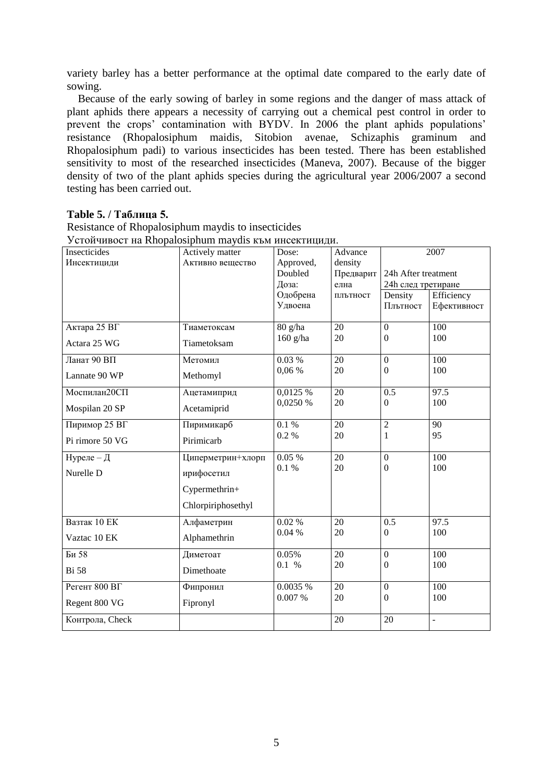variety barley has a better performance at the optimal date compared to the early date of sowing.

Because of the early sowing of barley in some regions and the danger of mass attack of plant aphids there appears a necessity of carrying out a chemical pest control in order to prevent the crops' contamination with BYDV. In 2006 the plant aphids populations' resistance (Rhopalosiphum maidis, Sitobion avenae, Schizaphis graminum and Rhopalosiphum padi) to various insecticides has been tested. There has been established sensitivity to most of the researched insecticides (Maneva, 2007). Because of the bigger density of two of the plant aphids species during the agricultural year 2006/2007 a second testing has been carried out.

# Table 5. / Таблина 5.

Resistance of Rhopalosiphum maydis to insecticides Устойчивост на Rhopalosiphum maydis към инсектицили.

| Cron mboc1 ha Knoparosipham majuis RBM miceremanant<br>Insecticides | Actively matter    | Dose:      | Advance         | 2007                |               |
|---------------------------------------------------------------------|--------------------|------------|-----------------|---------------------|---------------|
| Инсектициди                                                         | Активно вещество   | Approved,  | density         |                     |               |
|                                                                     |                    | Doubled    | Предварит       | 24h After treatment |               |
|                                                                     |                    | Доза:      | елна            | 24h след третиране  |               |
|                                                                     |                    | Одобрена   | плътност        | Density             | Efficiency    |
|                                                                     |                    | Удвоена    |                 | Плътност            | Ефективност   |
|                                                                     |                    |            |                 |                     |               |
| Актара 25 ВГ                                                        | Тиаметоксам        | 80 g/ha    | 20              | $\mathbf{0}$        | 100           |
| Actara 25 WG                                                        | Tiametoksam        | $160$ g/ha | 20              | $\Omega$            | 100           |
| Ланат 90 ВП                                                         | Метомил            | 0.03%      | 20              | $\mathbf{0}$        | 100           |
| Lannate 90 WP                                                       | Methomyl           | 0,06%      | 20              | $\boldsymbol{0}$    | 100           |
|                                                                     |                    |            |                 |                     |               |
| Моспилан20СП                                                        | Ацетамиприд        | 0,0125 %   | $\overline{20}$ | 0.5                 | 97.5          |
| Mospilan 20 SP                                                      | Acetamiprid        | 0,0250 %   | 20              | $\theta$            | 100           |
|                                                                     |                    |            |                 |                     |               |
| Пиримор 25 ВГ                                                       | Пиримикарб         | 0.1%       | 20              | $\overline{2}$      | 90            |
| Pi rimore 50 VG                                                     | Pirimicarb         | 0.2 %      | 20              | 1                   | 95            |
| Нуреле - Д                                                          | Циперметрин+хлорп  | 0.05%      | 20              | $\overline{0}$      | 100           |
| Nurelle D                                                           | ирифосетил         | 0.1 %      | 20              | $\mathbf{0}$        | 100           |
|                                                                     | Cypermethrin+      |            |                 |                     |               |
|                                                                     | Chlorpiriphosethyl |            |                 |                     |               |
| Вазтак 10 ЕК                                                        | Алфаметрин         | 0.02%      | 20              | 0.5                 | 97.5          |
| Vaztac 10 EK                                                        | Alphamethrin       | 0.04%      | 20              | $\mathbf{0}$        | 100           |
|                                                                     |                    |            |                 |                     |               |
| Би 58                                                               | Диметоат           | 0.05%      | $\overline{20}$ | $\mathbf{0}$        | 100           |
| <b>Bi</b> 58                                                        | Dimethoate         | 0.1 %      | 20              | $\boldsymbol{0}$    | 100           |
| Регент 800 BГ                                                       | Фипронил           | 0.0035 %   | $\overline{20}$ | $\mathbf{0}$        | 100           |
| Regent 800 VG                                                       | Fipronyl           | 0.007%     | 20              | $\Omega$            | 100           |
| Контрола, Check                                                     |                    |            | 20              | 20                  | $\frac{1}{2}$ |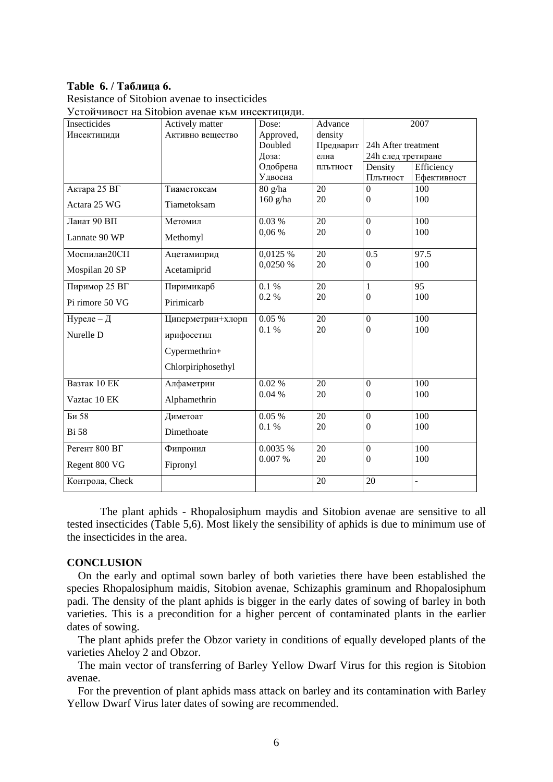# Table 6. / Таблица 6.

Resistance of Sitobion avenae to insecticides

Устойчивост на Sitobion avenae към инсектицили

| Insecticides    | Actively matter    | Dose:      | Advance         |                     | 2007            |
|-----------------|--------------------|------------|-----------------|---------------------|-----------------|
| Инсектициди     | Активно вещество   | Approved,  | density         |                     |                 |
|                 |                    | Doubled    | Предварит       | 24h After treatment |                 |
|                 |                    | Доза:      | елна            | 24h след третиране  |                 |
|                 |                    | Одобрена   | плътност        | Density             | Efficiency      |
|                 |                    | Удвоена    |                 | Плътност            | Ефективност     |
| Актара 25 ВГ    | Тиаметоксам        | 80 g/ha    | $\overline{20}$ | $\Omega$            | 100             |
| Actara 25 WG    | Tiametoksam        | $160$ g/ha | 20              | $\mathbf{0}$        | 100             |
| Ланат 90 ВП     | Метомил            | 0.03%      | 20              | $\overline{0}$      | 100             |
| Lannate 90 WP   | Methomyl           | 0,06 %     | 20              | $\theta$            | 100             |
| Моспилан20СП    | Ацетамиприд        | 0,0125 %   | $\overline{20}$ | 0.5                 | 97.5            |
| Mospilan 20 SP  | Acetamiprid        | 0,0250 %   | 20              | $\mathbf{0}$        | 100             |
|                 |                    |            |                 |                     |                 |
| Пиримор 25 ВГ   | Пиримикарб         | 0.1%       | $\overline{20}$ | $\mathbf{1}$        | $\overline{95}$ |
| Pi rimore 50 VG | Pirimicarb         | 0.2 %      | 20              | $\theta$            | 100             |
| Нуреле - Д      | Циперметрин+хлорп  | 0.05%      | 20              | $\boldsymbol{0}$    | 100             |
| Nurelle D       | ирифосетил         | $0.1~\%$   | 20              | $\Omega$            | 100             |
|                 | Cypermethrin+      |            |                 |                     |                 |
|                 | Chlorpiriphosethyl |            |                 |                     |                 |
| Вазтак 10 ЕК    | Алфаметрин         | 0.02%      | $\overline{20}$ | $\boldsymbol{0}$    | 100             |
| Vaztac 10 EK    | Alphamethrin       | 0.04%      | 20              | $\Omega$            | 100             |
| Би 58           | Диметоат           | 0.05%      | 20              | $\overline{0}$      | 100             |
| <b>Bi</b> 58    | Dimethoate         | 0.1%       | 20              | $\mathbf{0}$        | 100             |
| Регент $800$ ВГ | Фипронил           | 0.0035 %   | 20              | $\boldsymbol{0}$    | 100             |
| Regent 800 VG   | Fipronyl           | 0.007 %    | 20              | $\Omega$            | 100             |
| Контрола, Check |                    |            | 20              | 20                  | ÷,              |

The plant aphids - Rhopalosiphum maydis and Sitobion avenae are sensitive to all tested insecticides (Table 5,6). Most likely the sensibility of aphids is due to minimum use of the insecticides in the area.

## **CONCLUSION**

On the early and optimal sown barley of both varieties there have been established the species Rhopalosiphum maidis, Sitobion avenae, Schizaphis graminum and Rhopalosiphum padi. The density of the plant aphids is bigger in the early dates of sowing of barley in both varieties. This is a precondition for a higher percent of contaminated plants in the earlier dates of sowing.

The plant aphids prefer the Obzor variety in conditions of equally developed plants of the varieties Aheloy 2 and Obzor.

The main vector of transferring of Barley Yellow Dwarf Virus for this region is Sitobion avenae

For the prevention of plant aphids mass attack on barley and its contamination with Barley Yellow Dwarf Virus later dates of sowing are recommended.